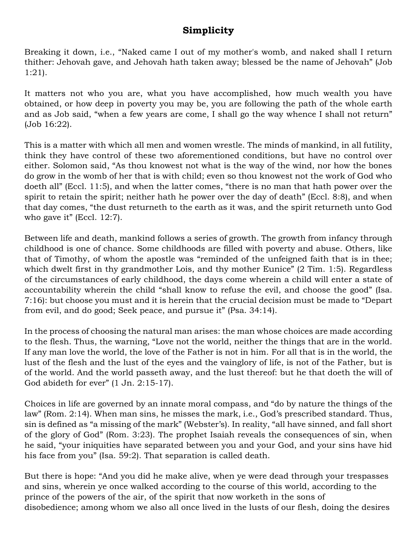## **Simplicity**

Breaking it down, i.e., "Naked came I out of my mother's womb, and naked shall I return thither: Jehovah gave, and Jehovah hath taken away; blessed be the name of Jehovah" (Job 1:21).

It matters not who you are, what you have accomplished, how much wealth you have obtained, or how deep in poverty you may be, you are following the path of the whole earth and as Job said, "when a few years are come, I shall go the way whence I shall not return" (Job 16:22).

This is a matter with which all men and women wrestle. The minds of mankind, in all futility, think they have control of these two aforementioned conditions, but have no control over either. Solomon said, "As thou knowest not what is the way of the wind, nor how the bones do grow in the womb of her that is with child; even so thou knowest not the work of God who doeth all" (Eccl. 11:5), and when the latter comes, "there is no man that hath power over the spirit to retain the spirit; neither hath he power over the day of death" (Eccl. 8:8), and when that day comes, "the dust returneth to the earth as it was, and the spirit returneth unto God who gave it" (Eccl. 12:7).

Between life and death, mankind follows a series of growth. The growth from infancy through childhood is one of chance. Some childhoods are filled with poverty and abuse. Others, like that of Timothy, of whom the apostle was "reminded of the unfeigned faith that is in thee; which dwelt first in thy grandmother Lois, and thy mother Eunice" (2 Tim. 1:5). Regardless of the circumstances of early childhood, the days come wherein a child will enter a state of accountability wherein the child "shall know to refuse the evil, and choose the good" (Isa. 7:16): but choose you must and it is herein that the crucial decision must be made to "Depart from evil, and do good; Seek peace, and pursue it" (Psa. 34:14).

In the process of choosing the natural man arises: the man whose choices are made according to the flesh. Thus, the warning, "Love not the world, neither the things that are in the world. If any man love the world, the love of the Father is not in him. For all that is in the world, the lust of the flesh and the lust of the eyes and the vainglory of life, is not of the Father, but is of the world. And the world passeth away, and the lust thereof: but he that doeth the will of God abideth for ever" (1 Jn. 2:15-17).

Choices in life are governed by an innate moral compass, and "do by nature the things of the law" (Rom. 2:14). When man sins, he misses the mark, i.e., God's prescribed standard. Thus, sin is defined as "a missing of the mark" (Webster's). In reality, "all have sinned, and fall short of the glory of God" (Rom. 3:23). The prophet Isaiah reveals the consequences of sin, when he said, "your iniquities have separated between you and your God, and your sins have hid his face from you" (Isa. 59:2). That separation is called death.

But there is hope: "And you did he make alive, when ye were dead through your trespasses and sins, wherein ye once walked according to the course of this world, according to the prince of the powers of the air, of the spirit that now worketh in the sons of disobedience; among whom we also all once lived in the lusts of our flesh, doing the desires